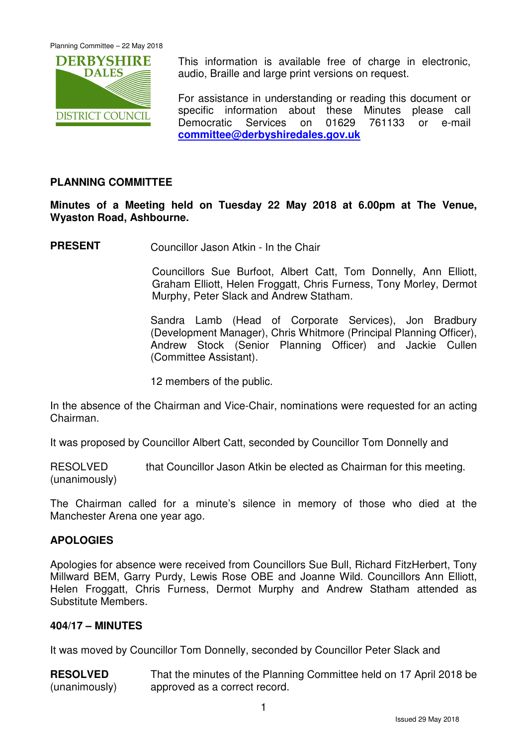Planning Committee – 22 May 2018



This information is available free of charge in electronic, audio, Braille and large print versions on request.

For assistance in understanding or reading this document or specific information about these Minutes please call Democratic Services on 01629 761133 or e-mail **committee@derbyshiredales.gov.uk**

# **PLANNING COMMITTEE**

**Minutes of a Meeting held on Tuesday 22 May 2018 at 6.00pm at The Venue, Wyaston Road, Ashbourne.** 

**PRESENT** Councillor Jason Atkin - In the Chair

 Councillors Sue Burfoot, Albert Catt, Tom Donnelly, Ann Elliott, Graham Elliott, Helen Froggatt, Chris Furness, Tony Morley, Dermot Murphy, Peter Slack and Andrew Statham.

Sandra Lamb (Head of Corporate Services), Jon Bradbury (Development Manager), Chris Whitmore (Principal Planning Officer), Andrew Stock (Senior Planning Officer) and Jackie Cullen (Committee Assistant).

12 members of the public.

In the absence of the Chairman and Vice-Chair, nominations were requested for an acting Chairman.

It was proposed by Councillor Albert Catt, seconded by Councillor Tom Donnelly and

RESOLVED that Councillor Jason Atkin be elected as Chairman for this meeting. (unanimously)

The Chairman called for a minute's silence in memory of those who died at the Manchester Arena one year ago.

## **APOLOGIES**

Apologies for absence were received from Councillors Sue Bull, Richard FitzHerbert, Tony Millward BEM, Garry Purdy, Lewis Rose OBE and Joanne Wild. Councillors Ann Elliott, Helen Froggatt, Chris Furness, Dermot Murphy and Andrew Statham attended as Substitute Members.

#### **404/17 – MINUTES**

It was moved by Councillor Tom Donnelly, seconded by Councillor Peter Slack and

**RESOLVED** (unanimously) That the minutes of the Planning Committee held on 17 April 2018 be approved as a correct record.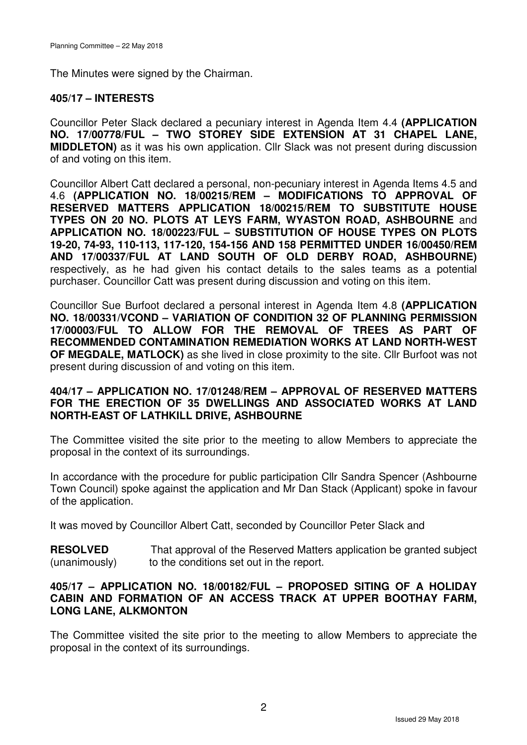The Minutes were signed by the Chairman.

# **405/17 – INTERESTS**

Councillor Peter Slack declared a pecuniary interest in Agenda Item 4.4 **(APPLICATION NO. 17/00778/FUL – TWO STOREY SIDE EXTENSION AT 31 CHAPEL LANE, MIDDLETON)** as it was his own application. Cllr Slack was not present during discussion of and voting on this item.

Councillor Albert Catt declared a personal, non-pecuniary interest in Agenda Items 4.5 and 4.6 **(APPLICATION NO. 18/00215/REM – MODIFICATIONS TO APPROVAL OF RESERVED MATTERS APPLICATION 18/00215/REM TO SUBSTITUTE HOUSE TYPES ON 20 NO. PLOTS AT LEYS FARM, WYASTON ROAD, ASHBOURNE** and **APPLICATION NO. 18/00223/FUL – SUBSTITUTION OF HOUSE TYPES ON PLOTS 19-20, 74-93, 110-113, 117-120, 154-156 AND 158 PERMITTED UNDER 16/00450/REM AND 17/00337/FUL AT LAND SOUTH OF OLD DERBY ROAD, ASHBOURNE)** respectively, as he had given his contact details to the sales teams as a potential purchaser. Councillor Catt was present during discussion and voting on this item.

Councillor Sue Burfoot declared a personal interest in Agenda Item 4.8 **(APPLICATION NO. 18/00331/VCOND – VARIATION OF CONDITION 32 OF PLANNING PERMISSION 17/00003/FUL TO ALLOW FOR THE REMOVAL OF TREES AS PART OF RECOMMENDED CONTAMINATION REMEDIATION WORKS AT LAND NORTH-WEST OF MEGDALE, MATLOCK)** as she lived in close proximity to the site. Cllr Burfoot was not present during discussion of and voting on this item.

#### **404/17 – APPLICATION NO. 17/01248/REM – APPROVAL OF RESERVED MATTERS FOR THE ERECTION OF 35 DWELLINGS AND ASSOCIATED WORKS AT LAND NORTH-EAST OF LATHKILL DRIVE, ASHBOURNE**

The Committee visited the site prior to the meeting to allow Members to appreciate the proposal in the context of its surroundings.

In accordance with the procedure for public participation Cllr Sandra Spencer (Ashbourne Town Council) spoke against the application and Mr Dan Stack (Applicant) spoke in favour of the application.

It was moved by Councillor Albert Catt, seconded by Councillor Peter Slack and

**RESOLVED** (unanimously) That approval of the Reserved Matters application be granted subject to the conditions set out in the report.

## **405/17 – APPLICATION NO. 18/00182/FUL – PROPOSED SITING OF A HOLIDAY CABIN AND FORMATION OF AN ACCESS TRACK AT UPPER BOOTHAY FARM, LONG LANE, ALKMONTON**

The Committee visited the site prior to the meeting to allow Members to appreciate the proposal in the context of its surroundings.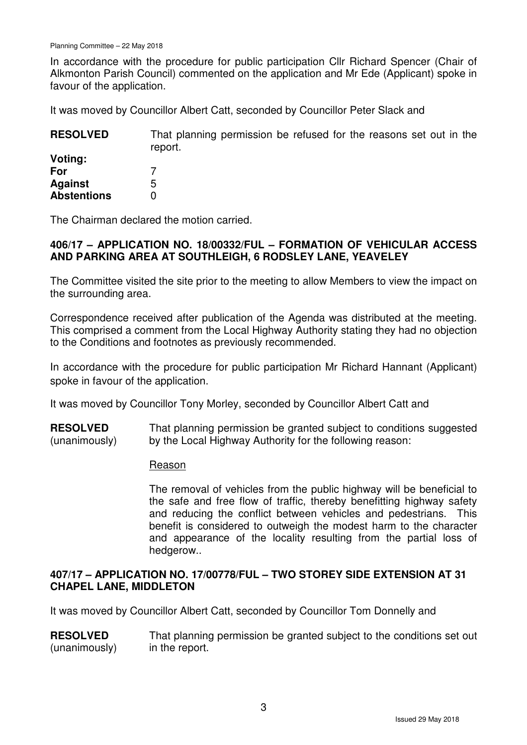In accordance with the procedure for public participation Cllr Richard Spencer (Chair of Alkmonton Parish Council) commented on the application and Mr Ede (Applicant) spoke in favour of the application.

It was moved by Councillor Albert Catt, seconded by Councillor Peter Slack and

| <b>RESOLVED</b>    | That planning permission be refused for the reasons set out in the<br>report. |
|--------------------|-------------------------------------------------------------------------------|
| Voting:            |                                                                               |
| For                |                                                                               |
| <b>Against</b>     | 5                                                                             |
| <b>Abstentions</b> |                                                                               |

The Chairman declared the motion carried.

## **406/17 – APPLICATION NO. 18/00332/FUL – FORMATION OF VEHICULAR ACCESS AND PARKING AREA AT SOUTHLEIGH, 6 RODSLEY LANE, YEAVELEY**

The Committee visited the site prior to the meeting to allow Members to view the impact on the surrounding area.

Correspondence received after publication of the Agenda was distributed at the meeting. This comprised a comment from the Local Highway Authority stating they had no objection to the Conditions and footnotes as previously recommended.

In accordance with the procedure for public participation Mr Richard Hannant (Applicant) spoke in favour of the application.

It was moved by Councillor Tony Morley, seconded by Councillor Albert Catt and

**RESOLVED** (unanimously) That planning permission be granted subject to conditions suggested by the Local Highway Authority for the following reason:

#### Reason

The removal of vehicles from the public highway will be beneficial to the safe and free flow of traffic, thereby benefitting highway safety and reducing the conflict between vehicles and pedestrians. This benefit is considered to outweigh the modest harm to the character and appearance of the locality resulting from the partial loss of hedgerow..

# **407/17 – APPLICATION NO. 17/00778/FUL – TWO STOREY SIDE EXTENSION AT 31 CHAPEL LANE, MIDDLETON**

It was moved by Councillor Albert Catt, seconded by Councillor Tom Donnelly and

**RESOLVED** (unanimously) That planning permission be granted subject to the conditions set out in the report.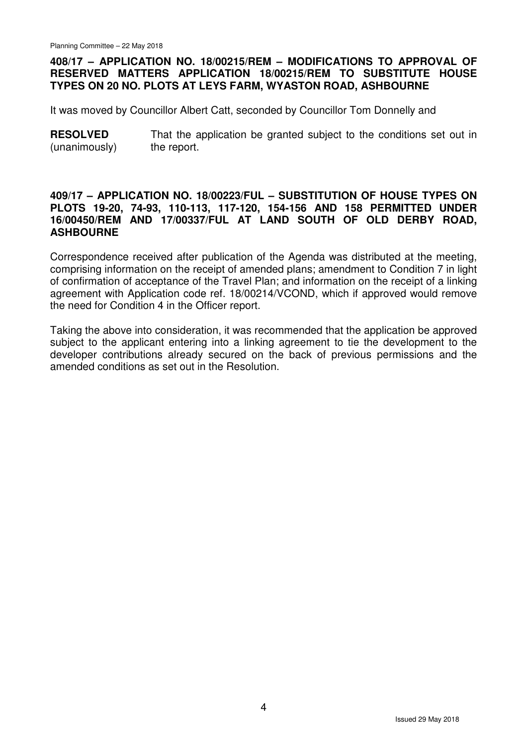## **408/17 – APPLICATION NO. 18/00215/REM – MODIFICATIONS TO APPROVAL OF RESERVED MATTERS APPLICATION 18/00215/REM TO SUBSTITUTE HOUSE TYPES ON 20 NO. PLOTS AT LEYS FARM, WYASTON ROAD, ASHBOURNE**

It was moved by Councillor Albert Catt, seconded by Councillor Tom Donnelly and

**RESOLVED** (unanimously) That the application be granted subject to the conditions set out in the report.

#### **409/17 – APPLICATION NO. 18/00223/FUL – SUBSTITUTION OF HOUSE TYPES ON PLOTS 19-20, 74-93, 110-113, 117-120, 154-156 AND 158 PERMITTED UNDER 16/00450/REM AND 17/00337/FUL AT LAND SOUTH OF OLD DERBY ROAD, ASHBOURNE**

Correspondence received after publication of the Agenda was distributed at the meeting, comprising information on the receipt of amended plans; amendment to Condition 7 in light of confirmation of acceptance of the Travel Plan; and information on the receipt of a linking agreement with Application code ref. 18/00214/VCOND, which if approved would remove the need for Condition 4 in the Officer report.

Taking the above into consideration, it was recommended that the application be approved subject to the applicant entering into a linking agreement to tie the development to the developer contributions already secured on the back of previous permissions and the amended conditions as set out in the Resolution.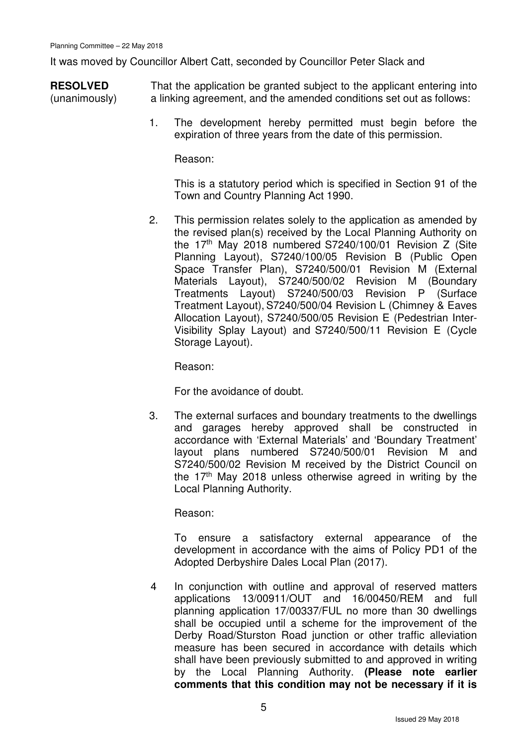It was moved by Councillor Albert Catt, seconded by Councillor Peter Slack and

**RESOLVED** (unanimously) That the application be granted subject to the applicant entering into a linking agreement, and the amended conditions set out as follows:

> 1. The development hereby permitted must begin before the expiration of three years from the date of this permission.

Reason:

 This is a statutory period which is specified in Section 91 of the Town and Country Planning Act 1990.

2. This permission relates solely to the application as amended by the revised plan(s) received by the Local Planning Authority on the  $17<sup>th</sup>$  May 2018 numbered S7240/100/01 Revision Z (Site Planning Layout), S7240/100/05 Revision B (Public Open Space Transfer Plan), S7240/500/01 Revision M (External Materials Layout), S7240/500/02 Revision M (Boundary Treatments Layout) S7240/500/03 Revision P (Surface Treatment Layout), S7240/500/04 Revision L (Chimney & Eaves Allocation Layout), S7240/500/05 Revision E (Pedestrian Inter-Visibility Splay Layout) and S7240/500/11 Revision E (Cycle Storage Layout).

Reason:

For the avoidance of doubt.

 3. The external surfaces and boundary treatments to the dwellings and garages hereby approved shall be constructed in accordance with 'External Materials' and 'Boundary Treatment' layout plans numbered S7240/500/01 Revision M and S7240/500/02 Revision M received by the District Council on the 17<sup>th</sup> May 2018 unless otherwise agreed in writing by the Local Planning Authority.

Reason:

To ensure a satisfactory external appearance of the development in accordance with the aims of Policy PD1 of the Adopted Derbyshire Dales Local Plan (2017).

4 In conjunction with outline and approval of reserved matters applications 13/00911/OUT and 16/00450/REM and full planning application 17/00337/FUL no more than 30 dwellings shall be occupied until a scheme for the improvement of the Derby Road/Sturston Road junction or other traffic alleviation measure has been secured in accordance with details which shall have been previously submitted to and approved in writing by the Local Planning Authority. **(Please note earlier comments that this condition may not be necessary if it is**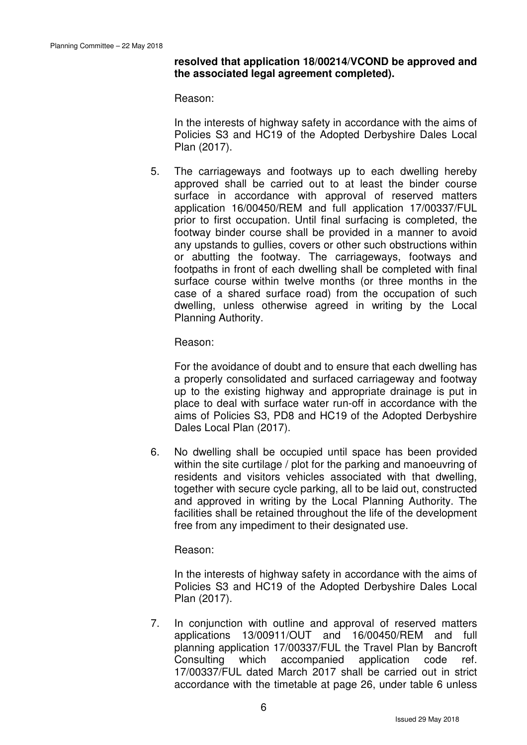## **resolved that application 18/00214/VCOND be approved and the associated legal agreement completed).**

Reason:

In the interests of highway safety in accordance with the aims of Policies S3 and HC19 of the Adopted Derbyshire Dales Local Plan (2017).

5. The carriageways and footways up to each dwelling hereby approved shall be carried out to at least the binder course surface in accordance with approval of reserved matters application 16/00450/REM and full application 17/00337/FUL prior to first occupation. Until final surfacing is completed, the footway binder course shall be provided in a manner to avoid any upstands to gullies, covers or other such obstructions within or abutting the footway. The carriageways, footways and footpaths in front of each dwelling shall be completed with final surface course within twelve months (or three months in the case of a shared surface road) from the occupation of such dwelling, unless otherwise agreed in writing by the Local Planning Authority.

Reason:

 For the avoidance of doubt and to ensure that each dwelling has a properly consolidated and surfaced carriageway and footway up to the existing highway and appropriate drainage is put in place to deal with surface water run-off in accordance with the aims of Policies S3, PD8 and HC19 of the Adopted Derbyshire Dales Local Plan (2017).

6. No dwelling shall be occupied until space has been provided within the site curtilage / plot for the parking and manoeuvring of residents and visitors vehicles associated with that dwelling, together with secure cycle parking, all to be laid out, constructed and approved in writing by the Local Planning Authority. The facilities shall be retained throughout the life of the development free from any impediment to their designated use.

Reason:

 In the interests of highway safety in accordance with the aims of Policies S3 and HC19 of the Adopted Derbyshire Dales Local Plan (2017).

7. In conjunction with outline and approval of reserved matters applications 13/00911/OUT and 16/00450/REM and full planning application 17/00337/FUL the Travel Plan by Bancroft Consulting which accompanied application code ref. 17/00337/FUL dated March 2017 shall be carried out in strict accordance with the timetable at page 26, under table 6 unless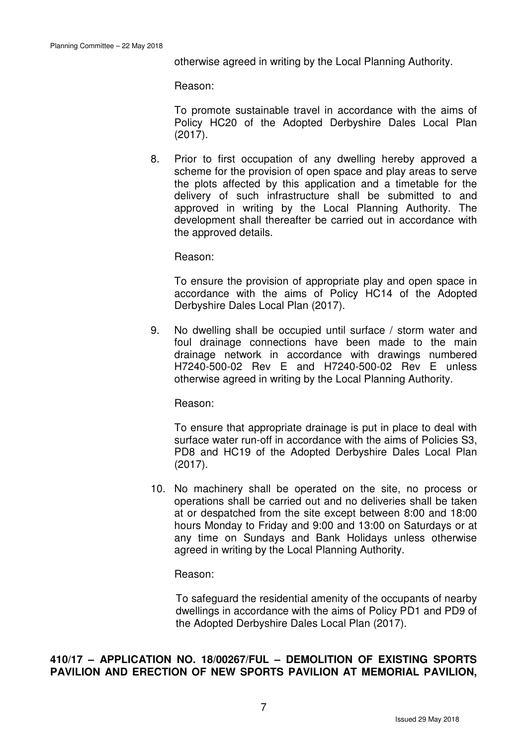otherwise agreed in writing by the Local Planning Authority.

Reason:

 To promote sustainable travel in accordance with the aims of Policy HC20 of the Adopted Derbyshire Dales Local Plan (2017).

8. Prior to first occupation of any dwelling hereby approved a scheme for the provision of open space and play areas to serve the plots affected by this application and a timetable for the delivery of such infrastructure shall be submitted to and approved in writing by the Local Planning Authority. The development shall thereafter be carried out in accordance with the approved details.

Reason:

 To ensure the provision of appropriate play and open space in accordance with the aims of Policy HC14 of the Adopted Derbyshire Dales Local Plan (2017).

9. No dwelling shall be occupied until surface / storm water and foul drainage connections have been made to the main drainage network in accordance with drawings numbered H7240-500-02 Rev E and H7240-500-02 Rev E unless otherwise agreed in writing by the Local Planning Authority.

Reason:

 To ensure that appropriate drainage is put in place to deal with surface water run-off in accordance with the aims of Policies S3, PD8 and HC19 of the Adopted Derbyshire Dales Local Plan (2017).

10. No machinery shall be operated on the site, no process or operations shall be carried out and no deliveries shall be taken at or despatched from the site except between 8:00 and 18:00 hours Monday to Friday and 9:00 and 13:00 on Saturdays or at any time on Sundays and Bank Holidays unless otherwise agreed in writing by the Local Planning Authority.

Reason:

To safeguard the residential amenity of the occupants of nearby dwellings in accordance with the aims of Policy PD1 and PD9 of the Adopted Derbyshire Dales Local Plan (2017).

# **410/17 – APPLICATION NO. 18/00267/FUL – DEMOLITION OF EXISTING SPORTS PAVILION AND ERECTION OF NEW SPORTS PAVILION AT MEMORIAL PAVILION,**